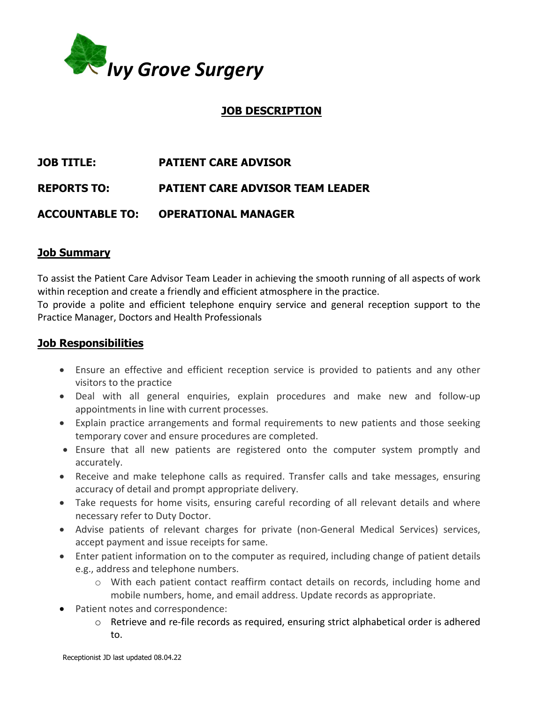

# **JOB DESCRIPTION**

# **JOB TITLE: PATIENT CARE ADVISOR**

**REPORTS TO: PATIENT CARE ADVISOR TEAM LEADER**

# **ACCOUNTABLE TO: OPERATIONAL MANAGER**

# **Job Summary**

To assist the Patient Care Advisor Team Leader in achieving the smooth running of all aspects of work within reception and create a friendly and efficient atmosphere in the practice.

To provide a polite and efficient telephone enquiry service and general reception support to the Practice Manager, Doctors and Health Professionals

#### **Job Responsibilities**

- Ensure an effective and efficient reception service is provided to patients and any other visitors to the practice
- Deal with all general enquiries, explain procedures and make new and follow-up appointments in line with current processes.
- Explain practice arrangements and formal requirements to new patients and those seeking temporary cover and ensure procedures are completed.
- Ensure that all new patients are registered onto the computer system promptly and accurately.
- Receive and make telephone calls as required. Transfer calls and take messages, ensuring accuracy of detail and prompt appropriate delivery.
- Take requests for home visits, ensuring careful recording of all relevant details and where necessary refer to Duty Doctor.
- Advise patients of relevant charges for private (non-General Medical Services) services, accept payment and issue receipts for same.
- Enter patient information on to the computer as required, including change of patient details e.g., address and telephone numbers.
	- o With each patient contact reaffirm contact details on records, including home and mobile numbers, home, and email address. Update records as appropriate.
- Patient notes and correspondence:
	- $\circ$  Retrieve and re-file records as required, ensuring strict alphabetical order is adhered to.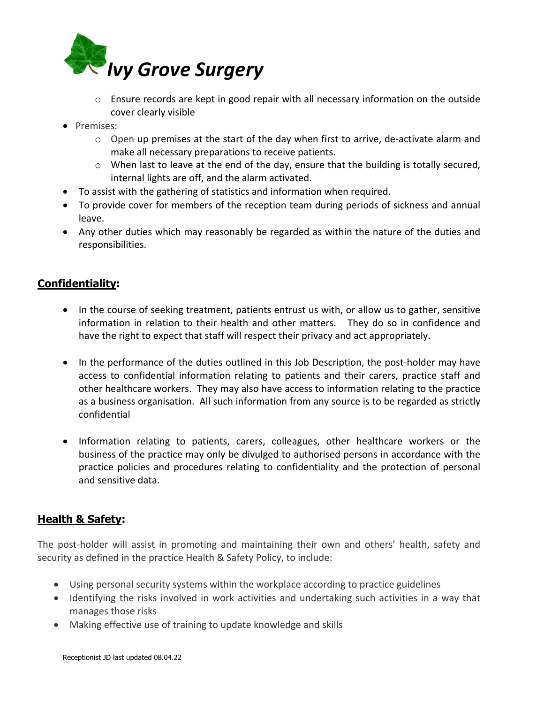

- o Ensure records are kept in good repair with all necessary information on the outside cover clearly visible
- Premises:
	- o Open up premises at the start of the day when first to arrive, de-activate alarm and make all necessary preparations to receive patients.
	- o When last to leave at the end of the day, ensure that the building is totally secured, internal lights are off, and the alarm activated.
- To assist with the gathering of statistics and information when required.
- To provide cover for members of the reception team during periods of sickness and annual leave.
- Any other duties which may reasonably be regarded as within the nature of the duties and responsibilities.

#### **Confidentiality:**

- In the course of seeking treatment, patients entrust us with, or allow us to gather, sensitive information in relation to their health and other matters. They do so in confidence and have the right to expect that staff will respect their privacy and act appropriately.
- In the performance of the duties outlined in this Job Description, the post-holder may have access to confidential information relating to patients and their carers, practice staff and other healthcare workers. They may also have access to information relating to the practice as a business organisation. All such information from any source is to be regarded as strictly confidential
- Information relating to patients, carers, colleagues, other healthcare workers or the business of the practice may only be divulged to authorised persons in accordance with the practice policies and procedures relating to confidentiality and the protection of personal and sensitive data.

# **Health & Safety:**

The post-holder will assist in promoting and maintaining their own and others' health, safety and security as defined in the practice Health & Safety Policy, to include:

- Using personal security systems within the workplace according to practice guidelines
- Identifying the risks involved in work activities and undertaking such activities in a way that manages those risks
- Making effective use of training to update knowledge and skills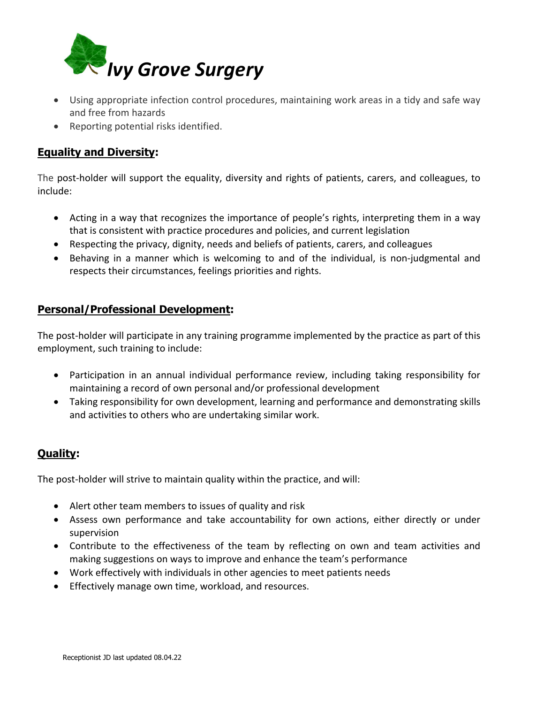

- Using appropriate infection control procedures, maintaining work areas in a tidy and safe way and free from hazards
- Reporting potential risks identified.

# **Equality and Diversity:**

The post-holder will support the equality, diversity and rights of patients, carers, and colleagues, to include:

- Acting in a way that recognizes the importance of people's rights, interpreting them in a way that is consistent with practice procedures and policies, and current legislation
- Respecting the privacy, dignity, needs and beliefs of patients, carers, and colleagues
- Behaving in a manner which is welcoming to and of the individual, is non-judgmental and respects their circumstances, feelings priorities and rights.

# **Personal/Professional Development:**

The post-holder will participate in any training programme implemented by the practice as part of this employment, such training to include:

- Participation in an annual individual performance review, including taking responsibility for maintaining a record of own personal and/or professional development
- Taking responsibility for own development, learning and performance and demonstrating skills and activities to others who are undertaking similar work.

# **Quality:**

The post-holder will strive to maintain quality within the practice, and will:

- Alert other team members to issues of quality and risk
- Assess own performance and take accountability for own actions, either directly or under supervision
- Contribute to the effectiveness of the team by reflecting on own and team activities and making suggestions on ways to improve and enhance the team's performance
- Work effectively with individuals in other agencies to meet patients needs
- Effectively manage own time, workload, and resources.